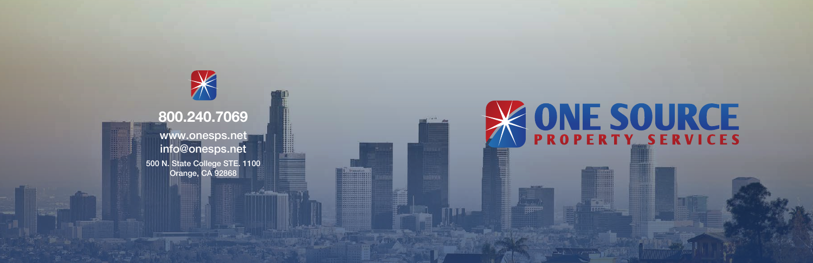

 $\mathbb{\vphantom{a}}\mathbb{\vphantom{a}}\mathbb{\vphantom{a}}\mathbb{\vphantom{a}}\mathbb{\vphantom{a}}\mathbb{\vphantom{a}}\mathbb{\vphantom{a}}\mathbb{\vphantom{a}}\mathbb{\vphantom{a}}\mathbb{\vphantom{a}}\mathbb{\vphantom{a}}\mathbb{\vphantom{a}}\mathbb{\vphantom{a}}\mathbb{\vphantom{a}}\mathbb{\vphantom{a}}\mathbb{\vphantom{a}}\mathbb{\vphantom{a}}\mathbb{\vphantom{a}}\mathbb{\vphantom{a}}\mathbb{\vphantom{a}}\mathbb{\vphantom{a}}\mathbb{\vphantom{a}}$ 

www.onesps.net info@onesps.net 500 N. State College STE. 1100 Orange, CA 92868



# **KONE SOURCE**